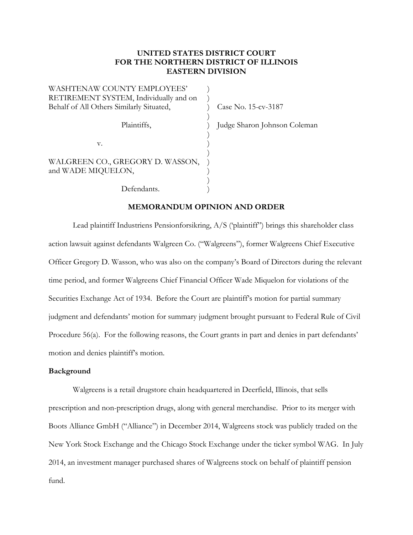# **UNITED STATES DISTRICT COURT FOR THE NORTHERN DISTRICT OF ILLINOIS EASTERN DIVISION**

| WASHTENAW COUNTY EMPLOYEES'              |  |
|------------------------------------------|--|
| RETIREMENT SYSTEM, Individually and on   |  |
| Behalf of All Others Similarly Situated, |  |
|                                          |  |
| Plaintiffs,                              |  |
|                                          |  |
| v.                                       |  |
|                                          |  |
| WALGREEN CO., GREGORY D. WASSON,         |  |
| and WADE MIQUELON,                       |  |
|                                          |  |
| Defendants.                              |  |

Case No. 15-cv-3187

Judge Sharon Johnson Coleman

### **MEMORANDUM OPINION AND ORDER**

Lead plaintiff Industriens Pensionforsikring, A/S ('plaintiff") brings this shareholder class action lawsuit against defendants Walgreen Co. ("Walgreens"), former Walgreens Chief Executive Officer Gregory D. Wasson, who was also on the company's Board of Directors during the relevant time period, and former Walgreens Chief Financial Officer Wade Miquelon for violations of the Securities Exchange Act of 1934. Before the Court are plaintiff's motion for partial summary judgment and defendants' motion for summary judgment brought pursuant to Federal Rule of Civil Procedure 56(a). For the following reasons, the Court grants in part and denies in part defendants' motion and denies plaintiff's motion.

# **Background**

Walgreens is a retail drugstore chain headquartered in Deerfield, Illinois, that sells prescription and non-prescription drugs, along with general merchandise. Prior to its merger with Boots Alliance GmbH ("Alliance") in December 2014, Walgreens stock was publicly traded on the New York Stock Exchange and the Chicago Stock Exchange under the ticker symbol WAG. In July 2014, an investment manager purchased shares of Walgreens stock on behalf of plaintiff pension fund.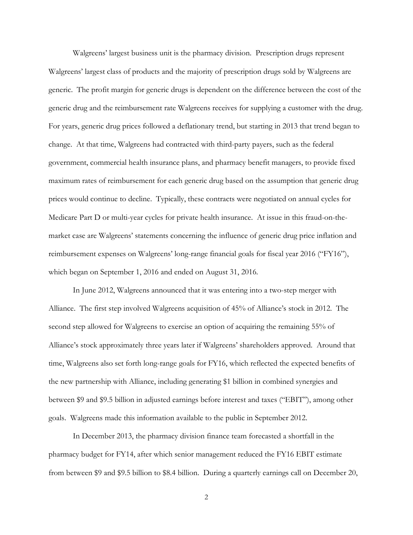Walgreens' largest business unit is the pharmacy division. Prescription drugs represent Walgreens' largest class of products and the majority of prescription drugs sold by Walgreens are generic. The profit margin for generic drugs is dependent on the difference between the cost of the generic drug and the reimbursement rate Walgreens receives for supplying a customer with the drug. For years, generic drug prices followed a deflationary trend, but starting in 2013 that trend began to change. At that time, Walgreens had contracted with third-party payers, such as the federal government, commercial health insurance plans, and pharmacy benefit managers, to provide fixed maximum rates of reimbursement for each generic drug based on the assumption that generic drug prices would continue to decline. Typically, these contracts were negotiated on annual cycles for Medicare Part D or multi-year cycles for private health insurance. At issue in this fraud-on-themarket case are Walgreens' statements concerning the influence of generic drug price inflation and reimbursement expenses on Walgreens' long-range financial goals for fiscal year 2016 ("FY16"), which began on September 1, 2016 and ended on August 31, 2016.

In June 2012, Walgreens announced that it was entering into a two-step merger with Alliance. The first step involved Walgreens acquisition of 45% of Alliance's stock in 2012. The second step allowed for Walgreens to exercise an option of acquiring the remaining 55% of Alliance's stock approximately three years later if Walgreens' shareholders approved. Around that time, Walgreens also set forth long-range goals for FY16, which reflected the expected benefits of the new partnership with Alliance, including generating \$1 billion in combined synergies and between \$9 and \$9.5 billion in adjusted earnings before interest and taxes ("EBIT"), among other goals. Walgreens made this information available to the public in September 2012.

In December 2013, the pharmacy division finance team forecasted a shortfall in the pharmacy budget for FY14, after which senior management reduced the FY16 EBIT estimate from between \$9 and \$9.5 billion to \$8.4 billion. During a quarterly earnings call on December 20,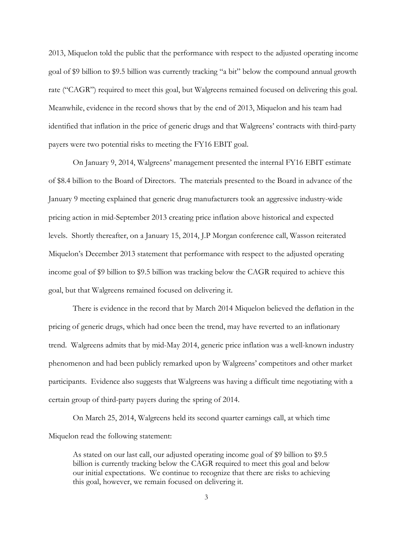2013, Miquelon told the public that the performance with respect to the adjusted operating income goal of \$9 billion to \$9.5 billion was currently tracking "a bit" below the compound annual growth rate ("CAGR") required to meet this goal, but Walgreens remained focused on delivering this goal. Meanwhile, evidence in the record shows that by the end of 2013, Miquelon and his team had identified that inflation in the price of generic drugs and that Walgreens' contracts with third-party payers were two potential risks to meeting the FY16 EBIT goal.

On January 9, 2014, Walgreens' management presented the internal FY16 EBIT estimate of \$8.4 billion to the Board of Directors. The materials presented to the Board in advance of the January 9 meeting explained that generic drug manufacturers took an aggressive industry-wide pricing action in mid-September 2013 creating price inflation above historical and expected levels. Shortly thereafter, on a January 15, 2014, J.P Morgan conference call, Wasson reiterated Miquelon's December 2013 statement that performance with respect to the adjusted operating income goal of \$9 billion to \$9.5 billion was tracking below the CAGR required to achieve this goal, but that Walgreens remained focused on delivering it.

There is evidence in the record that by March 2014 Miquelon believed the deflation in the pricing of generic drugs, which had once been the trend, may have reverted to an inflationary trend. Walgreens admits that by mid-May 2014, generic price inflation was a well-known industry phenomenon and had been publicly remarked upon by Walgreens' competitors and other market participants. Evidence also suggests that Walgreens was having a difficult time negotiating with a certain group of third-party payers during the spring of 2014.

On March 25, 2014, Walgreens held its second quarter earnings call, at which time Miquelon read the following statement:

As stated on our last call, our adjusted operating income goal of \$9 billion to \$9.5 billion is currently tracking below the CAGR required to meet this goal and below our initial expectations. We continue to recognize that there are risks to achieving this goal, however, we remain focused on delivering it.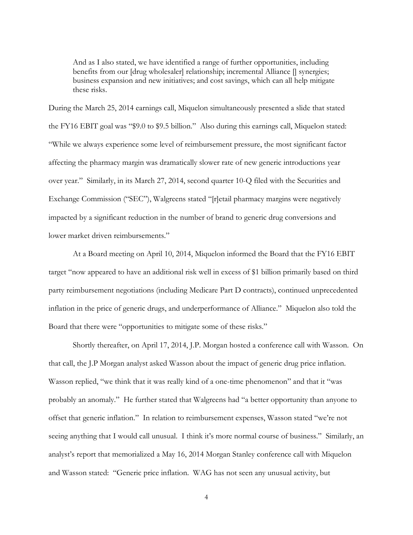And as I also stated, we have identified a range of further opportunities, including benefits from our [drug wholesaler] relationship; incremental Alliance [] synergies; business expansion and new initiatives; and cost savings, which can all help mitigate these risks.

During the March 25, 2014 earnings call, Miquelon simultaneously presented a slide that stated the FY16 EBIT goal was "\$9.0 to \$9.5 billion." Also during this earnings call, Miquelon stated: "While we always experience some level of reimbursement pressure, the most significant factor affecting the pharmacy margin was dramatically slower rate of new generic introductions year over year." Similarly, in its March 27, 2014, second quarter 10-Q filed with the Securities and Exchange Commission ("SEC"), Walgreens stated "[r]etail pharmacy margins were negatively impacted by a significant reduction in the number of brand to generic drug conversions and lower market driven reimbursements."

At a Board meeting on April 10, 2014, Miquelon informed the Board that the FY16 EBIT target "now appeared to have an additional risk well in excess of \$1 billion primarily based on third party reimbursement negotiations (including Medicare Part D contracts), continued unprecedented inflation in the price of generic drugs, and underperformance of Alliance." Miquelon also told the Board that there were "opportunities to mitigate some of these risks."

Shortly thereafter, on April 17, 2014, J.P. Morgan hosted a conference call with Wasson. On that call, the J.P Morgan analyst asked Wasson about the impact of generic drug price inflation. Wasson replied, "we think that it was really kind of a one-time phenomenon" and that it "was probably an anomaly." He further stated that Walgreens had "a better opportunity than anyone to offset that generic inflation." In relation to reimbursement expenses, Wasson stated "we're not seeing anything that I would call unusual. I think it's more normal course of business." Similarly, an analyst's report that memorialized a May 16, 2014 Morgan Stanley conference call with Miquelon and Wasson stated: "Generic price inflation. WAG has not seen any unusual activity, but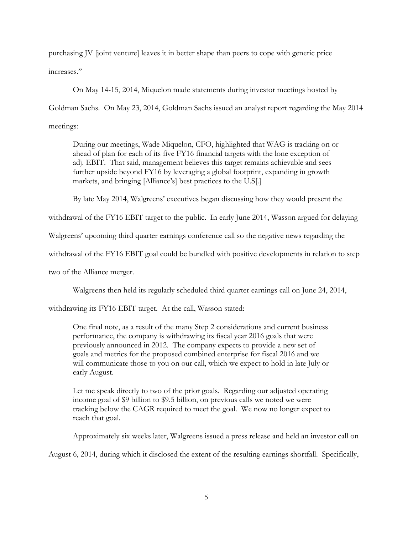purchasing JV [joint venture] leaves it in better shape than peers to cope with generic price increases."

On May 14-15, 2014, Miquelon made statements during investor meetings hosted by Goldman Sachs. On May 23, 2014, Goldman Sachs issued an analyst report regarding the May 2014 meetings:

During our meetings, Wade Miquelon, CFO, highlighted that WAG is tracking on or ahead of plan for each of its five FY16 financial targets with the lone exception of adj. EBIT. That said, management believes this target remains achievable and sees further upside beyond FY16 by leveraging a global footprint, expanding in growth markets, and bringing [Alliance's] best practices to the U.S[.]

By late May 2014, Walgreens' executives began discussing how they would present the

withdrawal of the FY16 EBIT target to the public. In early June 2014, Wasson argued for delaying

Walgreens' upcoming third quarter earnings conference call so the negative news regarding the

withdrawal of the FY16 EBIT goal could be bundled with positive developments in relation to step

two of the Alliance merger.

Walgreens then held its regularly scheduled third quarter earnings call on June 24, 2014,

withdrawing its FY16 EBIT target. At the call, Wasson stated:

One final note, as a result of the many Step 2 considerations and current business performance, the company is withdrawing its fiscal year 2016 goals that were previously announced in 2012. The company expects to provide a new set of goals and metrics for the proposed combined enterprise for fiscal 2016 and we will communicate those to you on our call, which we expect to hold in late July or early August.

Let me speak directly to two of the prior goals. Regarding our adjusted operating income goal of \$9 billion to \$9.5 billion, on previous calls we noted we were tracking below the CAGR required to meet the goal. We now no longer expect to reach that goal.

Approximately six weeks later, Walgreens issued a press release and held an investor call on

August 6, 2014, during which it disclosed the extent of the resulting earnings shortfall. Specifically,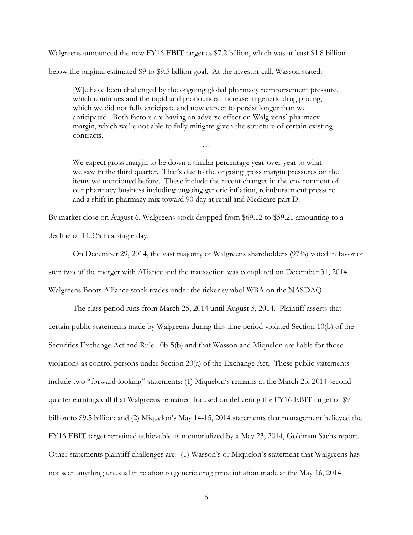Walgreens announced the new FY16 EBIT target as \$7.2 billion, which was at least \$1.8 billion

below the original estimated \$9 to \$9.5 billion goal. At the investor call, Wasson stated:

[W]e have been challenged by the ongoing global pharmacy reimbursement pressure, which continues and the rapid and pronounced increase in generic drug pricing, which we did not fully anticipate and now expect to persist longer than we anticipated. Both factors are having an adverse effect on Walgreens' pharmacy margin, which we're not able to fully mitigate given the structure of certain existing contracts.

…

We expect gross margin to be down a similar percentage year-over-year to what we saw in the third quarter. That's due to the ongoing gross margin pressures on the items we mentioned before. These include the recent changes in the environment of our pharmacy business including ongoing generic inflation, reimbursement pressure and a shift in pharmacy mix toward 90 day at retail and Medicare part D.

By market close on August 6, Walgreens stock dropped from \$69.12 to \$59.21 amounting to a

decline of 14.3% in a single day.

On December 29, 2014, the vast majority of Walgreens shareholders (97%) voted in favor of step two of the merger with Alliance and the transaction was completed on December 31, 2014. Walgreens Boots Alliance stock trades under the ticker symbol WBA on the NASDAQ.

The class period runs from March 25, 2014 until August 5, 2014. Plaintiff asserts that certain public statements made by Walgreens during this time period violated Section 10(b) of the Securities Exchange Act and Rule 10b-5(b) and that Wasson and Miquelon are liable for those violations as control persons under Section  $20(a)$  of the Exchange Act. These public statements include two "forward-looking" statements: (1) Miquelon's remarks at the March 25, 2014 second quarter earnings call that Walgreens remained focused on delivering the FY16 EBIT target of \$9 billion to \$9.5 billion; and (2) Miquelon's May 14-15, 2014 statements that management believed the FY16 EBIT target remained achievable as memorialized by a May 23, 2014, Goldman Sachs report. Other statements plaintiff challenges are: (1) Wasson's or Miquelon's statement that Walgreens has not seen anything unusual in relation to generic drug price inflation made at the May 16, 2014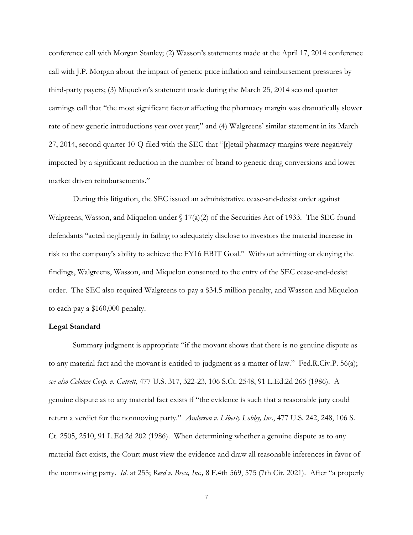conference call with Morgan Stanley; (2) Wasson's statements made at the April 17, 2014 conference call with J.P. Morgan about the impact of generic price inflation and reimbursement pressures by third-party payers; (3) Miquelon's statement made during the March 25, 2014 second quarter earnings call that "the most significant factor affecting the pharmacy margin was dramatically slower rate of new generic introductions year over year;" and (4) Walgreens' similar statement in its March 27, 2014, second quarter 10-Q filed with the SEC that "[r]etail pharmacy margins were negatively impacted by a significant reduction in the number of brand to generic drug conversions and lower market driven reimbursements."

During this litigation, the SEC issued an administrative cease-and-desist order against Walgreens, Wasson, and Miquelon under § 17(a)(2) of the Securities Act of 1933. The SEC found defendants "acted negligently in failing to adequately disclose to investors the material increase in risk to the company's ability to achieve the FY16 EBIT Goal." Without admitting or denying the findings, Walgreens, Wasson, and Miquelon consented to the entry of the SEC cease-and-desist order. The SEC also required Walgreens to pay a \$34.5 million penalty, and Wasson and Miquelon to each pay a \$160,000 penalty.

### **Legal Standard**

Summary judgment is appropriate "if the movant shows that there is no genuine dispute as to any material fact and the movant is entitled to judgment as a matter of law." Fed.R.Civ.P. 56(a); *see also Celotex Corp. v. Catrett*, 477 U.S. 317, 322-23, 106 S.Ct. 2548, 91 L.Ed.2d 265 (1986). A genuine dispute as to any material fact exists if "the evidence is such that a reasonable jury could return a verdict for the nonmoving party." *Anderson v. Liberty Lobby, Inc*., 477 U.S. 242, 248, 106 S. Ct. 2505, 2510, 91 L.Ed.2d 202 (1986). When determining whether a genuine dispute as to any material fact exists, the Court must view the evidence and draw all reasonable inferences in favor of the nonmoving party. *Id*. at 255; *Reed v. Brex, Inc.,* 8 F.4th 569, 575 (7th Cir. 2021). After "a properly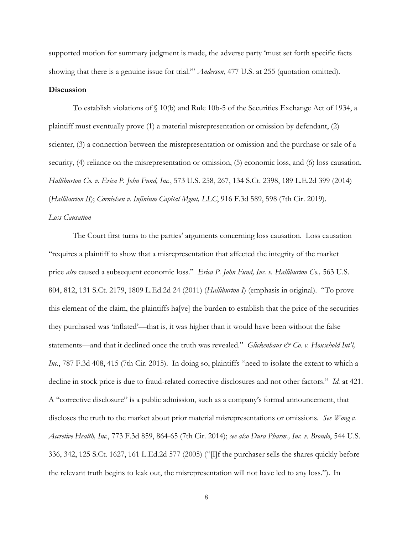supported motion for summary judgment is made, the adverse party 'must set forth specific facts showing that there is a genuine issue for trial.'" *Anderson*, 477 U.S. at 255 (quotation omitted).

# **Discussion**

To establish violations of § 10(b) and Rule 10b-5 of the Securities Exchange Act of 1934, a plaintiff must eventually prove (1) a material misrepresentation or omission by defendant, (2) scienter, (3) a connection between the misrepresentation or omission and the purchase or sale of a security, (4) reliance on the misrepresentation or omission, (5) economic loss, and (6) loss causation. *Halliburton Co. v. Erica P. John Fund, Inc.*, 573 U.S. 258, 267, 134 S.Ct. 2398, 189 L.E.2d 399 (2014) (*Halliburton II*); *Cornielsen v. Infinium Capital Mgmt, LLC*, 916 F.3d 589, 598 (7th Cir. 2019).

### *Loss Causation*

The Court first turns to the parties' arguments concerning loss causation. Loss causation "requires a plaintiff to show that a misrepresentation that affected the integrity of the market price *also* caused a subsequent economic loss." *Erica P. John Fund, Inc. v. Halliburton Co.,* 563 U.S. 804, 812, 131 S.Ct. 2179, 1809 L.Ed.2d 24 (2011) (*Halliburton I*) (emphasis in original). "To prove this element of the claim, the plaintiffs ha[ve] the burden to establish that the price of the securities they purchased was 'inflated'—that is, it was higher than it would have been without the false statements—and that it declined once the truth was revealed." *Glickenhaus & Co. v. Household Int'l*, *Inc.*, 787 F.3d 408, 415 (7th Cir. 2015). In doing so, plaintiffs "need to isolate the extent to which a decline in stock price is due to fraud-related corrective disclosures and not other factors." *Id.* at 421. A "corrective disclosure" is a public admission, such as a company's formal announcement, that discloses the truth to the market about prior material misrepresentations or omissions. *See Wong v. Accretive Health, Inc*., 773 F.3d 859, 864-65 (7th Cir. 2014); *see also Dura Pharm., Inc. v. Broudo*, 544 U.S. 336, 342, 125 S.Ct. 1627, 161 L.Ed.2d 577 (2005) ("[I]f the purchaser sells the shares quickly before the relevant truth begins to leak out, the misrepresentation will not have led to any loss."). In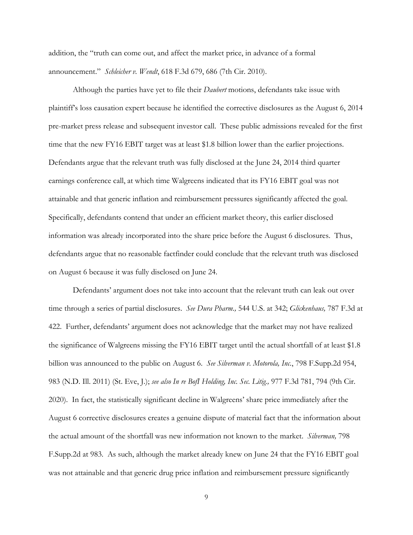addition, the "truth can come out, and affect the market price, in advance of a formal announcement." *Schleicher v. Wendt*, 618 F.3d 679, 686 (7th Cir. 2010).

Although the parties have yet to file their *Daubert* motions, defendants take issue with plaintiff's loss causation expert because he identified the corrective disclosures as the August 6, 2014 pre-market press release and subsequent investor call. These public admissions revealed for the first time that the new FY16 EBIT target was at least \$1.8 billion lower than the earlier projections. Defendants argue that the relevant truth was fully disclosed at the June 24, 2014 third quarter earnings conference call, at which time Walgreens indicated that its FY16 EBIT goal was not attainable and that generic inflation and reimbursement pressures significantly affected the goal. Specifically, defendants contend that under an efficient market theory, this earlier disclosed information was already incorporated into the share price before the August 6 disclosures. Thus, defendants argue that no reasonable factfinder could conclude that the relevant truth was disclosed on August 6 because it was fully disclosed on June 24.

Defendants' argument does not take into account that the relevant truth can leak out over time through a series of partial disclosures. *See Dura Pharm.,* 544 U.S. at 342; *Glickenhaus,* 787 F.3d at 422. Further, defendants' argument does not acknowledge that the market may not have realized the significance of Walgreens missing the FY16 EBIT target until the actual shortfall of at least \$1.8 billion was announced to the public on August 6. *See Silverman v. Motorola, Inc.*, 798 F.Supp.2d 954, 983 (N.D. Ill. 2011) (St. Eve, J.); *see also In re BofI Holding, Inc. Sec. Litig.,* 977 F.3d 781, 794 (9th Cir. 2020). In fact, the statistically significant decline in Walgreens' share price immediately after the August 6 corrective disclosures creates a genuine dispute of material fact that the information about the actual amount of the shortfall was new information not known to the market. *Silverman,* 798 F.Supp.2d at 983. As such, although the market already knew on June 24 that the FY16 EBIT goal was not attainable and that generic drug price inflation and reimbursement pressure significantly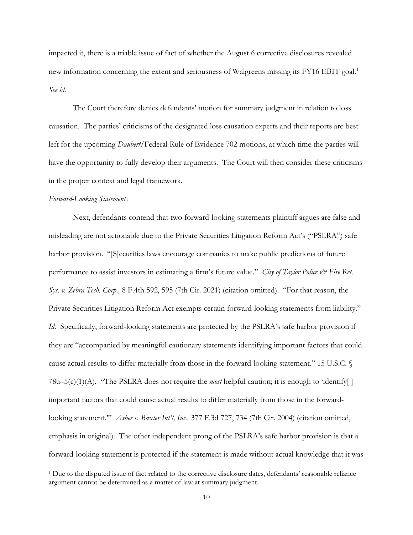impacted it, there is a triable issue of fact of whether the August 6 corrective disclosures revealed new information concerning the extent and seriousness of Walgreens missing its FY16 EBIT goal. [1](#page-9-0) *See id.*

The Court therefore denies defendants' motion for summary judgment in relation to loss causation. The parties' criticisms of the designated loss causation experts and their reports are best left for the upcoming *Daubert*/Federal Rule of Evidence 702 motions, at which time the parties will have the opportunity to fully develop their arguments. The Court will then consider these criticisms in the proper context and legal framework.

#### *Forward-Looking Statements*

Next, defendants contend that two forward-looking statements plaintiff argues are false and misleading are not actionable due to the Private Securities Litigation Reform Act's ("PSLRA") safe harbor provision. "[S]ecurities laws encourage companies to make public predictions of future performance to assist investors in estimating a firm's future value." *City of Taylor Police*  $\mathcal O$  *Fire Ret. Sys. v. Zebra Tech. Corp.,* 8 F.4th 592, 595 (7th Cir. 2021) (citation omitted). "For that reason, the Private Securities Litigation Reform Act exempts certain forward-looking statements from liability." *Id*. Specifically, forward-looking statements are protected by the PSLRA's safe harbor provision if they are "accompanied by meaningful cautionary statements identifying important factors that could cause actual results to differ materially from those in the forward-looking statement." 15 U.S.C. §  $78u-5(c)(1)(A)$ . "The PSLRA does not require the *most* helpful caution; it is enough to 'identify[] important factors that could cause actual results to differ materially from those in the forwardlooking statement.'" *Asher v. Baxter Int'l, Inc.,* 377 F.3d 727, 734 (7th Cir. 2004) (citation omitted, emphasis in original). The other independent prong of the PSLRA's safe harbor provision is that a forward-looking statement is protected if the statement is made without actual knowledge that it was

<span id="page-9-0"></span><sup>1</sup> Due to the disputed issue of fact related to the corrective disclosure dates, defendants' reasonable reliance argument cannot be determined as a matter of law at summary judgment.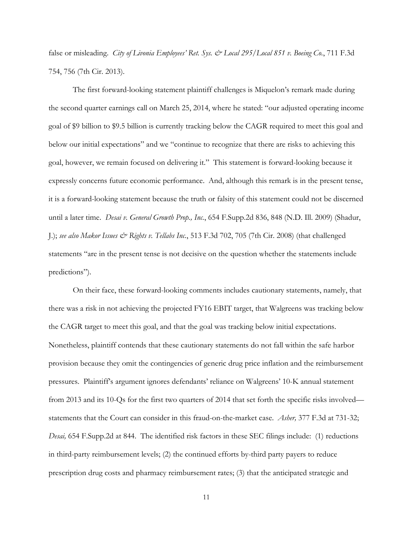false or misleading. *City of Livonia Employees' Ret. Sys. & Local 295/Local 851 v. Boeing Co.*, 711 F.3d 754, 756 (7th Cir. 2013).

The first forward-looking statement plaintiff challenges is Miquelon's remark made during the second quarter earnings call on March 25, 2014, where he stated: "our adjusted operating income goal of \$9 billion to \$9.5 billion is currently tracking below the CAGR required to meet this goal and below our initial expectations" and we "continue to recognize that there are risks to achieving this goal, however, we remain focused on delivering it." This statement is forward-looking because it expressly concerns future economic performance. And, although this remark is in the present tense, it is a forward-looking statement because the truth or falsity of this statement could not be discerned until a later time. *Desai v. General Growth Prop., Inc.*, 654 F.Supp.2d 836, 848 (N.D. Ill. 2009) (Shadur, J.); *see also Makor Issues & Rights v. Tellabs Inc.*, 513 F.3d 702, 705 (7th Cir. 2008) (that challenged statements "are in the present tense is not decisive on the question whether the statements include predictions").

On their face, these forward-looking comments includes cautionary statements, namely, that there was a risk in not achieving the projected FY16 EBIT target, that Walgreens was tracking below the CAGR target to meet this goal, and that the goal was tracking below initial expectations. Nonetheless, plaintiff contends that these cautionary statements do not fall within the safe harbor provision because they omit the contingencies of generic drug price inflation and the reimbursement pressures. Plaintiff's argument ignores defendants' reliance on Walgreens' 10-K annual statement from 2013 and its 10-Qs for the first two quarters of 2014 that set forth the specific risks involved statements that the Court can consider in this fraud-on-the-market case. *Asher,* 377 F.3d at 731-32; *Desai,* 654 F.Supp.2d at 844. The identified risk factors in these SEC filings include: (1) reductions in third-party reimbursement levels; (2) the continued efforts by-third party payers to reduce prescription drug costs and pharmacy reimbursement rates; (3) that the anticipated strategic and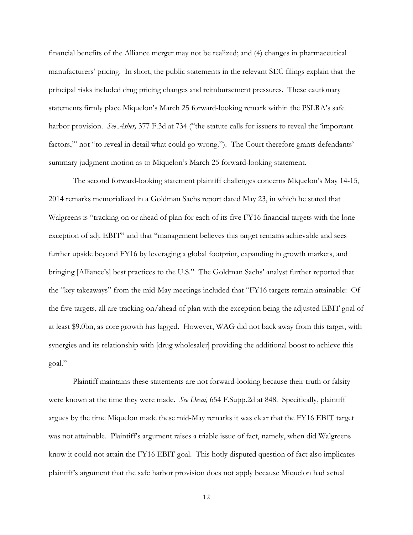financial benefits of the Alliance merger may not be realized; and (4) changes in pharmaceutical manufacturers' pricing. In short, the public statements in the relevant SEC filings explain that the principal risks included drug pricing changes and reimbursement pressures. These cautionary statements firmly place Miquelon's March 25 forward-looking remark within the PSLRA's safe harbor provision. *See Asher,* 377 F.3d at 734 ("the statute calls for issuers to reveal the 'important factors,'" not "to reveal in detail what could go wrong."). The Court therefore grants defendants' summary judgment motion as to Miquelon's March 25 forward-looking statement.

The second forward-looking statement plaintiff challenges concerns Miquelon's May 14-15, 2014 remarks memorialized in a Goldman Sachs report dated May 23, in which he stated that Walgreens is "tracking on or ahead of plan for each of its five FY16 financial targets with the lone exception of adj. EBIT" and that "management believes this target remains achievable and sees further upside beyond FY16 by leveraging a global footprint, expanding in growth markets, and bringing [Alliance's] best practices to the U.S." The Goldman Sachs' analyst further reported that the "key takeaways" from the mid-May meetings included that "FY16 targets remain attainable: Of the five targets, all are tracking on/ahead of plan with the exception being the adjusted EBIT goal of at least \$9.0bn, as core growth has lagged. However, WAG did not back away from this target, with synergies and its relationship with [drug wholesaler] providing the additional boost to achieve this goal."

Plaintiff maintains these statements are not forward-looking because their truth or falsity were known at the time they were made. *See Desai,* 654 F.Supp.2d at 848. Specifically, plaintiff argues by the time Miquelon made these mid-May remarks it was clear that the FY16 EBIT target was not attainable. Plaintiff's argument raises a triable issue of fact, namely, when did Walgreens know it could not attain the FY16 EBIT goal. This hotly disputed question of fact also implicates plaintiff's argument that the safe harbor provision does not apply because Miquelon had actual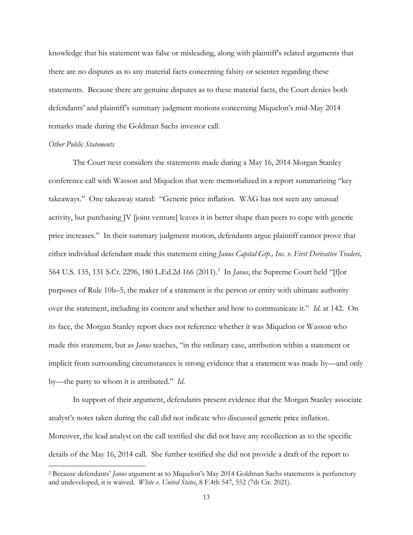knowledge that his statement was false or misleading, along with plaintiff's related arguments that there are no disputes as to any material facts concerning falsity or scienter regarding these statements. Because there are genuine disputes as to these material facts, the Court denies both defendants' and plaintiff's summary judgment motions concerning Miquelon's mid-May 2014 remarks made during the Goldman Sachs investor call.

#### *Other Public Statements*

The Court next considers the statements made during a May 16, 2014 Morgan Stanley conference call with Wasson and Miquelon that were memorialized in a report summarizing "key takeaways." One takeaway stated: "Generic price inflation. WAG has not seen any unusual activity, but purchasing JV [joint venture] leaves it in better shape than peers to cope with generic price increases." In their summary judgment motion, defendants argue plaintiff cannot prove that either individual defendant made this statement citing *Janus Capital Grp., Inc. v. First Derivative Traders,* 564 U.S. 135, 131 S.Ct. [2](#page-12-0)296, 180 L.Ed.2d 166 (2011).<sup>2</sup> In *Janus*, the Supreme Court held "[f]or purposes of Rule 10b–5, the maker of a statement is the person or entity with ultimate authority over the statement, including its content and whether and how to communicate it." *Id*. at 142. On its face, the Morgan Stanley report does not reference whether it was Miquelon or Wasson who made this statement, but as *Janus* teaches, "in the ordinary case, attribution within a statement or implicit from surrounding circumstances is strong evidence that a statement was made by—and only by—the party to whom it is attributed." *Id*.

In support of their argument, defendants present evidence that the Morgan Stanley associate analyst's notes taken during the call did not indicate who discussed generic price inflation. Moreover, the lead analyst on the call testified she did not have any recollection as to the specific details of the May 16, 2014 call. She further testified she did not provide a draft of the report to

<span id="page-12-0"></span><sup>2</sup> Because defendants' *Janus* argument as to Miquelon's May 2014 Goldman Sachs statements is perfunctory and undeveloped, it is waived. *White v. United States*, 8 F.4th 547, 552 (7th Cir. 2021).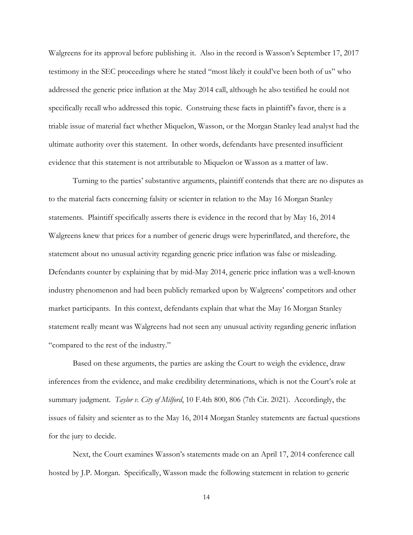Walgreens for its approval before publishing it. Also in the record is Wasson's September 17, 2017 testimony in the SEC proceedings where he stated "most likely it could've been both of us" who addressed the generic price inflation at the May 2014 call, although he also testified he could not specifically recall who addressed this topic. Construing these facts in plaintiff's favor, there is a triable issue of material fact whether Miquelon, Wasson, or the Morgan Stanley lead analyst had the ultimate authority over this statement. In other words, defendants have presented insufficient evidence that this statement is not attributable to Miquelon or Wasson as a matter of law.

Turning to the parties' substantive arguments, plaintiff contends that there are no disputes as to the material facts concerning falsity or scienter in relation to the May 16 Morgan Stanley statements. Plaintiff specifically asserts there is evidence in the record that by May 16, 2014 Walgreens knew that prices for a number of generic drugs were hyperinflated, and therefore, the statement about no unusual activity regarding generic price inflation was false or misleading. Defendants counter by explaining that by mid-May 2014, generic price inflation was a well-known industry phenomenon and had been publicly remarked upon by Walgreens' competitors and other market participants. In this context, defendants explain that what the May 16 Morgan Stanley statement really meant was Walgreens had not seen any unusual activity regarding generic inflation "compared to the rest of the industry."

Based on these arguments, the parties are asking the Court to weigh the evidence, draw inferences from the evidence, and make credibility determinations, which is not the Court's role at summary judgment. *Taylor v. City of Milford*, 10 F.4th 800, 806 (7th Cir. 2021). Accordingly, the issues of falsity and scienter as to the May 16, 2014 Morgan Stanley statements are factual questions for the jury to decide.

Next, the Court examines Wasson's statements made on an April 17, 2014 conference call hosted by J.P. Morgan. Specifically, Wasson made the following statement in relation to generic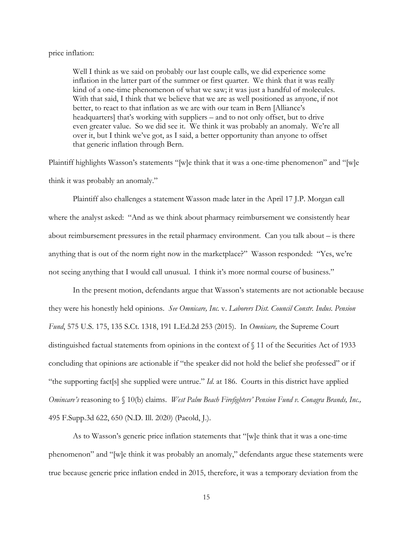#### price inflation:

Well I think as we said on probably our last couple calls, we did experience some inflation in the latter part of the summer or first quarter. We think that it was really kind of a one-time phenomenon of what we saw; it was just a handful of molecules. With that said, I think that we believe that we are as well positioned as anyone, if not better, to react to that inflation as we are with our team in Bern [Alliance's headquarters] that's working with suppliers – and to not only offset, but to drive even greater value. So we did see it. We think it was probably an anomaly. We're all over it, but I think we've got, as I said, a better opportunity than anyone to offset that generic inflation through Bern.

Plaintiff highlights Wasson's statements "[w]e think that it was a one-time phenomenon" and "[w]e think it was probably an anomaly."

Plaintiff also challenges a statement Wasson made later in the April 17 J.P. Morgan call where the analyst asked: "And as we think about pharmacy reimbursement we consistently hear about reimbursement pressures in the retail pharmacy environment. Can you talk about – is there anything that is out of the norm right now in the marketplace?" Wasson responded: "Yes, we're not seeing anything that I would call unusual. I think it's more normal course of business."

In the present motion, defendants argue that Wasson's statements are not actionable because they were his honestly held opinions. *See Omnicare, Inc.* v. *Laborers Dist. Council Constr. Indus. Pension Fund*, 575 U.S. 175, 135 S.Ct. 1318, 191 L.Ed.2d 253 (2015). In *Omnicare,* the Supreme Court distinguished factual statements from opinions in the context of § 11 of the Securities Act of 1933 concluding that opinions are actionable if "the speaker did not hold the belief she professed" or if "the supporting fact[s] she supplied were untrue." *Id*. at 186. Courts in this district have applied *Omincare's* reasoning to § 10(b) claims. *West Palm Beach Firefighters' Pension Fund v. Conagra Brands, Inc.,* 495 F.Supp.3d 622, 650 (N.D. Ill. 2020) (Pacold, J.).

As to Wasson's generic price inflation statements that "[w]e think that it was a one-time phenomenon" and "[w]e think it was probably an anomaly," defendants argue these statements were true because generic price inflation ended in 2015, therefore, it was a temporary deviation from the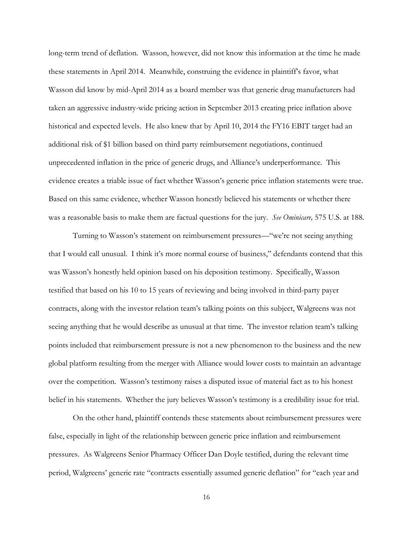long-term trend of deflation. Wasson, however, did not know this information at the time he made these statements in April 2014. Meanwhile, construing the evidence in plaintiff's favor, what Wasson did know by mid-April 2014 as a board member was that generic drug manufacturers had taken an aggressive industry-wide pricing action in September 2013 creating price inflation above historical and expected levels. He also knew that by April 10, 2014 the FY16 EBIT target had an additional risk of \$1 billion based on third party reimbursement negotiations, continued unprecedented inflation in the price of generic drugs, and Alliance's underperformance. This evidence creates a triable issue of fact whether Wasson's generic price inflation statements were true. Based on this same evidence, whether Wasson honestly believed his statements or whether there was a reasonable basis to make them are factual questions for the jury. *See Ominicare,* 575 U.S. at 188.

Turning to Wasson's statement on reimbursement pressures—"we're not seeing anything that I would call unusual. I think it's more normal course of business," defendants contend that this was Wasson's honestly held opinion based on his deposition testimony. Specifically, Wasson testified that based on his 10 to 15 years of reviewing and being involved in third-party payer contracts, along with the investor relation team's talking points on this subject, Walgreens was not seeing anything that he would describe as unusual at that time. The investor relation team's talking points included that reimbursement pressure is not a new phenomenon to the business and the new global platform resulting from the merger with Alliance would lower costs to maintain an advantage over the competition. Wasson's testimony raises a disputed issue of material fact as to his honest belief in his statements. Whether the jury believes Wasson's testimony is a credibility issue for trial.

On the other hand, plaintiff contends these statements about reimbursement pressures were false, especially in light of the relationship between generic price inflation and reimbursement pressures. As Walgreens Senior Pharmacy Officer Dan Doyle testified, during the relevant time period, Walgreens' generic rate "contracts essentially assumed generic deflation" for "each year and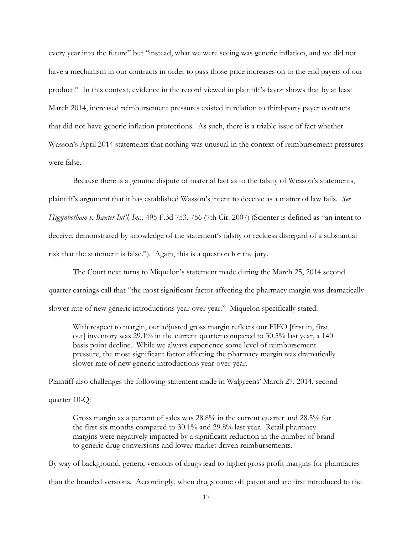every year into the future" but "instead, what we were seeing was generic inflation, and we did not have a mechanism in our contracts in order to pass those price increases on to the end payers of our product." In this context, evidence in the record viewed in plaintiff's favor shows that by at least March 2014, increased reimbursement pressures existed in relation to third-party payer contracts that did not have generic inflation protections. As such, there is a triable issue of fact whether Wasson's April 2014 statements that nothing was unusual in the context of reimbursement pressures were false.

Because there is a genuine dispute of material fact as to the falsity of Wesson's statements, plaintiff's argument that it has established Wasson's intent to deceive as a matter of law fails. *See Higginbotham v. Baxter Int'l, Inc.*, 495 F.3d 753, 756 (7th Cir. 2007) (Scienter is defined as "an intent to deceive, demonstrated by knowledge of the statement's falsity or reckless disregard of a substantial risk that the statement is false."). Again, this is a question for the jury.

The Court next turns to Miquelon's statement made during the March 25, 2014 second quarter earnings call that "the most significant factor affecting the pharmacy margin was dramatically slower rate of new generic introductions year over year." Miquelon specifically stated:

With respect to margin, our adjusted gross margin reflects our FIFO [first in, first out] inventory was 29.1% in the current quarter compared to 30.5% last year, a 140 basis point decline. While we always experience some level of reimbursement pressure, the most significant factor affecting the pharmacy margin was dramatically slower rate of new generic introductions year-over-year.

Plaintiff also challenges the following statement made in Walgreens' March 27, 2014, second

quarter 10-Q:

Gross margin as a percent of sales was 28.8% in the current quarter and 28.5% for the first six months compared to 30.1% and 29.8% last year. Retail pharmacy margins were negatively impacted by a significant reduction in the number of brand to generic drug conversions and lower market driven reimbursements.

By way of background, generic versions of drugs lead to higher gross profit margins for pharmacies than the branded versions. Accordingly, when drugs come off patent and are first introduced to the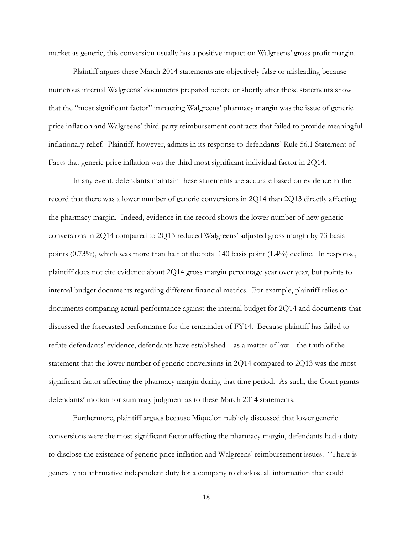market as generic, this conversion usually has a positive impact on Walgreens' gross profit margin.

Plaintiff argues these March 2014 statements are objectively false or misleading because numerous internal Walgreens' documents prepared before or shortly after these statements show that the "most significant factor" impacting Walgreens' pharmacy margin was the issue of generic price inflation and Walgreens' third-party reimbursement contracts that failed to provide meaningful inflationary relief. Plaintiff, however, admits in its response to defendants' Rule 56.1 Statement of Facts that generic price inflation was the third most significant individual factor in 2Q14.

In any event, defendants maintain these statements are accurate based on evidence in the record that there was a lower number of generic conversions in 2Q14 than 2Q13 directly affecting the pharmacy margin. Indeed, evidence in the record shows the lower number of new generic conversions in 2Q14 compared to 2Q13 reduced Walgreens' adjusted gross margin by 73 basis points (0.73%), which was more than half of the total 140 basis point (1.4%) decline. In response, plaintiff does not cite evidence about 2Q14 gross margin percentage year over year, but points to internal budget documents regarding different financial metrics. For example, plaintiff relies on documents comparing actual performance against the internal budget for 2Q14 and documents that discussed the forecasted performance for the remainder of FY14. Because plaintiff has failed to refute defendants' evidence, defendants have established—as a matter of law—the truth of the statement that the lower number of generic conversions in 2Q14 compared to 2Q13 was the most significant factor affecting the pharmacy margin during that time period. As such, the Court grants defendants' motion for summary judgment as to these March 2014 statements.

Furthermore, plaintiff argues because Miquelon publicly discussed that lower generic conversions were the most significant factor affecting the pharmacy margin, defendants had a duty to disclose the existence of generic price inflation and Walgreens' reimbursement issues. "There is generally no affirmative independent duty for a company to disclose all information that could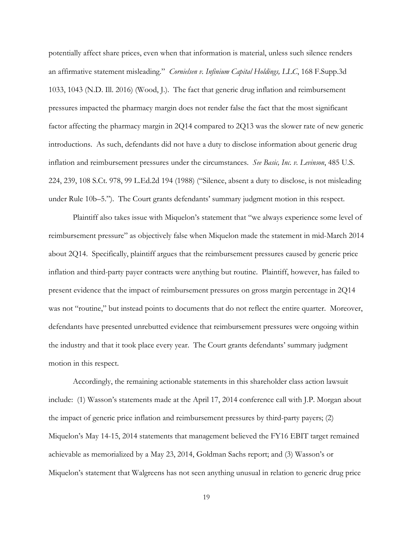potentially affect share prices, even when that information is material, unless such silence renders an affirmative statement misleading." *Cornielsen v. Infinium Capital Holdings, LLC*, 168 F.Supp.3d 1033, 1043 (N.D. Ill. 2016) (Wood, J.). The fact that generic drug inflation and reimbursement pressures impacted the pharmacy margin does not render false the fact that the most significant factor affecting the pharmacy margin in 2Q14 compared to 2Q13 was the slower rate of new generic introductions. As such, defendants did not have a duty to disclose information about generic drug inflation and reimbursement pressures under the circumstances. *See Basic, Inc. v. Levinson*, 485 U.S. 224, 239, 108 S.Ct. 978, 99 L.Ed.2d 194 (1988) ("Silence, absent a duty to disclose, is not misleading under Rule 10b–5."). The Court grants defendants' summary judgment motion in this respect.

Plaintiff also takes issue with Miquelon's statement that "we always experience some level of reimbursement pressure" as objectively false when Miquelon made the statement in mid-March 2014 about 2Q14. Specifically, plaintiff argues that the reimbursement pressures caused by generic price inflation and third-party payer contracts were anything but routine. Plaintiff, however, has failed to present evidence that the impact of reimbursement pressures on gross margin percentage in 2Q14 was not "routine," but instead points to documents that do not reflect the entire quarter. Moreover, defendants have presented unrebutted evidence that reimbursement pressures were ongoing within the industry and that it took place every year. The Court grants defendants' summary judgment motion in this respect.

Accordingly, the remaining actionable statements in this shareholder class action lawsuit include: (1) Wasson's statements made at the April 17, 2014 conference call with J.P. Morgan about the impact of generic price inflation and reimbursement pressures by third-party payers; (2) Miquelon's May 14-15, 2014 statements that management believed the FY16 EBIT target remained achievable as memorialized by a May 23, 2014, Goldman Sachs report; and (3) Wasson's or Miquelon's statement that Walgreens has not seen anything unusual in relation to generic drug price